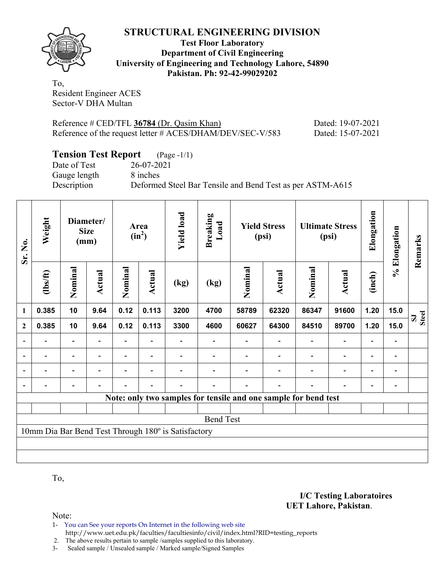

## **Test Floor Laboratory Department of Civil Engineering University of Engineering and Technology Lahore, 54890 Pakistan. Ph: 92-42-99029202**

To, Resident Engineer ACES Sector-V DHA Multan

| Reference # CED/TFL 36784 (Dr. Qasim Khan)                |  |
|-----------------------------------------------------------|--|
| Reference of the request letter # ACES/DHAM/DEV/SEC-V/583 |  |

Pated: 19-07-2021 Pated: 15-07-2021

| <b>Tension Test Report</b> (Page -1/1) |                                                           |
|----------------------------------------|-----------------------------------------------------------|
| Date of Test                           | 26-07-2021                                                |
| Gauge length                           | 8 inches                                                  |
| Description                            | Deformed Steel Bar Tensile and Bend Test as per ASTM-A615 |

| Sr. No.      | Weight   | Diameter/<br><b>Size</b><br>(mm) |               |         |                |                                                     |                  |                                                                 | Area<br>$(in^2)$ | <b>Yield load</b> | <b>Breaking</b><br>Load  |        | <b>Yield Stress</b><br>(psi) |       | <b>Ultimate Stress</b><br>(psi) | Elongation | Elongation | Remarks |
|--------------|----------|----------------------------------|---------------|---------|----------------|-----------------------------------------------------|------------------|-----------------------------------------------------------------|------------------|-------------------|--------------------------|--------|------------------------------|-------|---------------------------------|------------|------------|---------|
|              | (1bs/ft) | Nominal                          | <b>Actual</b> | Nominal | Actual         | (kg)                                                | (kg)             | Nominal                                                         | <b>Actual</b>    | Nominal           | <b>Actual</b>            | (inch) | $\geqslant$                  |       |                                 |            |            |         |
| 1            | 0.385    | 10                               | 9.64          | 0.12    | 0.113          | 3200                                                | 4700             | 58789                                                           | 62320            | 86347             | 91600                    | 1.20   | 15.0                         | Steel |                                 |            |            |         |
| $\mathbf{2}$ | 0.385    | 10                               | 9.64          | 0.12    | 0.113          | 3300                                                | 4600             | 60627                                                           | 64300            | 84510             | 89700                    | 1.20   | 15.0                         |       |                                 |            |            |         |
|              |          |                                  |               |         |                |                                                     |                  |                                                                 |                  |                   |                          |        |                              |       |                                 |            |            |         |
| ۰            |          | $\overline{\phantom{0}}$         |               |         |                |                                                     |                  |                                                                 |                  |                   |                          |        | $\qquad \qquad \blacksquare$ |       |                                 |            |            |         |
|              |          |                                  |               |         |                |                                                     |                  |                                                                 |                  |                   | $\overline{\phantom{0}}$ |        | $\qquad \qquad \blacksquare$ |       |                                 |            |            |         |
|              |          |                                  |               |         | $\blacksquare$ |                                                     |                  |                                                                 |                  |                   | $\overline{a}$           |        |                              |       |                                 |            |            |         |
|              |          |                                  |               |         |                |                                                     |                  | Note: only two samples for tensile and one sample for bend test |                  |                   |                          |        |                              |       |                                 |            |            |         |
|              |          |                                  |               |         |                |                                                     |                  |                                                                 |                  |                   |                          |        |                              |       |                                 |            |            |         |
|              |          |                                  |               |         |                |                                                     | <b>Bend Test</b> |                                                                 |                  |                   |                          |        |                              |       |                                 |            |            |         |
|              |          |                                  |               |         |                | 10mm Dia Bar Bend Test Through 180° is Satisfactory |                  |                                                                 |                  |                   |                          |        |                              |       |                                 |            |            |         |
|              |          |                                  |               |         |                |                                                     |                  |                                                                 |                  |                   |                          |        |                              |       |                                 |            |            |         |
|              |          |                                  |               |         |                |                                                     |                  |                                                                 |                  |                   |                          |        |                              |       |                                 |            |            |         |

To,

Note:

1- You can See your reports On Internet in the following web site http://www.uet.edu.pk/faculties/facultiesinfo/civil/index.html?RID=testing\_reports

2. The above results pertain to sample / samples supplied to this laboratory.<br>3- Sealed sample / Unsealed sample / Marked sample/Signed Samples

Sealed sample / Unsealed sample / Marked sample/Signed Samples

## **I/C Testing Laboratoires UET Lahore, Pakistan**.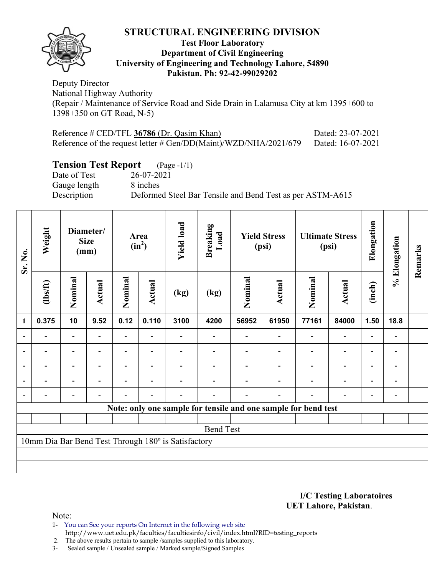

## **Test Floor Laboratory Department of Civil Engineering University of Engineering and Technology Lahore, 54890 Pakistan. Ph: 92-42-99029202**

Deputy Director National Highway Authority (Repair / Maintenance of Service Road and Side Drain in Lalamusa City at km 1395+600 to 1398+350 on GT Road, N-5)

| Reference $\#$ CED/TFL 36786 (Dr. Qasim Khan)                      | Dated: 23-07-2021 |
|--------------------------------------------------------------------|-------------------|
| Reference of the request letter # $Gen/DD(Maint)/WZD/NHA/2021/679$ | Dated: 16-07-2021 |

# **Tension Test Report** (Page -1/1)

Date of Test 26-07-2021 Gauge length 8 inches Description Deformed Steel Bar Tensile and Bend Test as per ASTM-A615

| Sr. No.        | Weight  | Diameter/<br><b>Size</b><br>(mm) |                          | Area<br>$(in^2)$ |                          | <b>Yield load</b>                                   | <b>Breaking</b><br>Load |         | <b>Yield Stress</b><br>(psi) |                                                                | <b>Ultimate Stress</b><br>(psi) | Elongation               | % Elongation                 | Remarks |
|----------------|---------|----------------------------------|--------------------------|------------------|--------------------------|-----------------------------------------------------|-------------------------|---------|------------------------------|----------------------------------------------------------------|---------------------------------|--------------------------|------------------------------|---------|
|                | $lbsft$ | Nominal                          | Actual                   | Nominal          | <b>Actual</b>            | (kg)                                                | (kg)                    | Nominal | Actual                       | Nominal                                                        | <b>Actual</b>                   | (inch)                   |                              |         |
| 1              | 0.375   | 10                               | 9.52                     | 0.12             | 0.110                    | 3100                                                | 4200                    | 56952   | 61950                        | 77161                                                          | 84000                           | 1.50                     | 18.8                         |         |
|                |         | $\overline{\phantom{0}}$         |                          | Ξ.               |                          |                                                     |                         |         |                              |                                                                | $\overline{\phantom{0}}$        | $\overline{\phantom{0}}$ |                              |         |
|                |         | -                                |                          |                  |                          |                                                     |                         |         |                              |                                                                | $\overline{\phantom{0}}$        | $\overline{\phantom{0}}$ |                              |         |
| $\overline{a}$ |         | $\overline{\phantom{0}}$         | $\overline{\phantom{0}}$ |                  | $\overline{\phantom{a}}$ |                                                     |                         |         |                              |                                                                | $\overline{\phantom{0}}$        | $\overline{\phantom{0}}$ | $\qquad \qquad \blacksquare$ |         |
|                |         | $\overline{\phantom{0}}$         |                          |                  | $\overline{\phantom{0}}$ |                                                     |                         |         |                              |                                                                | $\overline{\phantom{0}}$        | $\overline{\phantom{0}}$ |                              |         |
|                |         | $\overline{\phantom{0}}$         |                          |                  | $\overline{\phantom{0}}$ |                                                     |                         |         |                              |                                                                | $\overline{\phantom{0}}$        | $\overline{\phantom{0}}$ |                              |         |
|                |         |                                  |                          |                  |                          |                                                     |                         |         |                              | Note: only one sample for tensile and one sample for bend test |                                 |                          |                              |         |
|                |         |                                  |                          |                  |                          |                                                     |                         |         |                              |                                                                |                                 |                          |                              |         |
|                |         |                                  |                          |                  |                          |                                                     | <b>Bend Test</b>        |         |                              |                                                                |                                 |                          |                              |         |
|                |         |                                  |                          |                  |                          | 10mm Dia Bar Bend Test Through 180° is Satisfactory |                         |         |                              |                                                                |                                 |                          |                              |         |
|                |         |                                  |                          |                  |                          |                                                     |                         |         |                              |                                                                |                                 |                          |                              |         |
|                |         |                                  |                          |                  |                          |                                                     |                         |         |                              |                                                                |                                 |                          |                              |         |

**I/C Testing Laboratoires UET Lahore, Pakistan**.

Note:

- 1- You can See your reports On Internet in the following web site http://www.uet.edu.pk/faculties/facultiesinfo/civil/index.html?RID=testing\_reports
- 2. The above results pertain to sample /samples supplied to this laboratory.
- 3- Sealed sample / Unsealed sample / Marked sample/Signed Samples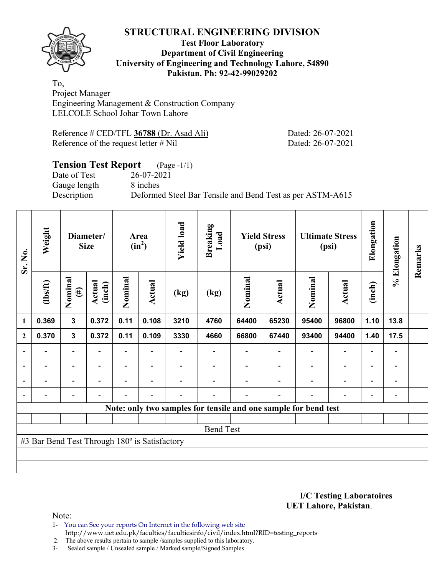

#### **Test Floor Laboratory Department of Civil Engineering University of Engineering and Technology Lahore, 54890 Pakistan. Ph: 92-42-99029202**

To, Project Manager Engineering Management & Construction Company LELCOLE School Johar Town Lahore

| Reference $\#$ CED/TFL 36788 (Dr. Asad Ali) | Dated: 26-07-2021 |
|---------------------------------------------|-------------------|
| Reference of the request letter $\#$ Nil    | Dated: 26-07-2021 |

# **Tension Test Report** (Page -1/1)<br>Date of Test 26-07-2021

Gauge length 8 inches

Date of Test 26-07-2021 Description Deformed Steel Bar Tensile and Bend Test as per ASTM-A615

| Sr. No.          | Weight                                        | Diameter/<br><b>Size</b> |                  | Area<br>$(in^2)$         |                          | <b>Yield load</b><br><b>Breaking</b><br>Load |                          | <b>Yield Stress</b><br>(psi)                                    |                          | <b>Ultimate Stress</b><br>(psi) |                          | Elongation               | % Elongation                 | Remarks |
|------------------|-----------------------------------------------|--------------------------|------------------|--------------------------|--------------------------|----------------------------------------------|--------------------------|-----------------------------------------------------------------|--------------------------|---------------------------------|--------------------------|--------------------------|------------------------------|---------|
|                  | $\frac{2}{10}$                                | Nominal<br>$(\#)$        | Actual<br>(inch) | Nominal                  | <b>Actual</b>            | (kg)                                         | (kg)                     | Nominal                                                         | Actual                   | Nominal                         | <b>Actual</b>            | (inch)                   |                              |         |
| $\mathbf{1}$     | 0.369                                         | $\overline{\mathbf{3}}$  | 0.372            | 0.11                     | 0.108                    | 3210                                         | 4760                     | 64400                                                           | 65230                    | 95400                           | 96800                    | 1.10                     | 13.8                         |         |
| $\boldsymbol{2}$ | 0.370                                         | $\mathbf{3}$             | 0.372            | 0.11                     | 0.109                    | 3330                                         | 4660                     | 66800                                                           | 67440                    | 93400                           | 94400                    | 1.40                     | 17.5                         |         |
| $\blacksquare$   | $\overline{\phantom{a}}$                      | Ξ.                       | ۰                | $\overline{\phantom{a}}$ | $\overline{\phantom{a}}$ |                                              | $\overline{\phantom{a}}$ | $\overline{\phantom{a}}$                                        | $\overline{\phantom{a}}$ | $\overline{\phantom{a}}$        | $\overline{\phantom{a}}$ | $\overline{\phantom{a}}$ | $\overline{\phantom{a}}$     |         |
| $\blacksquare$   | $\overline{\phantom{a}}$                      | Ξ.                       | Ξ.               | $\overline{\phantom{a}}$ | $\overline{\phantom{a}}$ |                                              | $\blacksquare$           | $\overline{\phantom{0}}$                                        | $\blacksquare$           | $\overline{a}$                  | $\blacksquare$           | $\overline{\phantom{a}}$ | $\qquad \qquad \blacksquare$ |         |
|                  |                                               |                          | $\blacksquare$   |                          |                          |                                              |                          |                                                                 | $\overline{\phantom{0}}$ | $\blacksquare$                  | $\blacksquare$           | $\blacksquare$           | $\overline{\phantom{0}}$     |         |
|                  |                                               |                          |                  |                          |                          |                                              |                          |                                                                 |                          |                                 |                          |                          |                              |         |
|                  |                                               |                          |                  |                          |                          |                                              |                          | Note: only two samples for tensile and one sample for bend test |                          |                                 |                          |                          |                              |         |
|                  |                                               |                          |                  |                          |                          |                                              |                          |                                                                 |                          |                                 |                          |                          |                              |         |
|                  |                                               |                          |                  |                          |                          |                                              | <b>Bend Test</b>         |                                                                 |                          |                                 |                          |                          |                              |         |
|                  | #3 Bar Bend Test Through 180° is Satisfactory |                          |                  |                          |                          |                                              |                          |                                                                 |                          |                                 |                          |                          |                              |         |
|                  |                                               |                          |                  |                          |                          |                                              |                          |                                                                 |                          |                                 |                          |                          |                              |         |
|                  |                                               |                          |                  |                          |                          |                                              |                          |                                                                 |                          |                                 |                          |                          |                              |         |

**I/C Testing Laboratoires UET Lahore, Pakistan**.

Note:

1- You can See your reports On Internet in the following web site http://www.uet.edu.pk/faculties/facultiesinfo/civil/index.html?RID=testing\_reports

2. The above results pertain to sample /samples supplied to this laboratory.

3- Sealed sample / Unsealed sample / Marked sample/Signed Samples